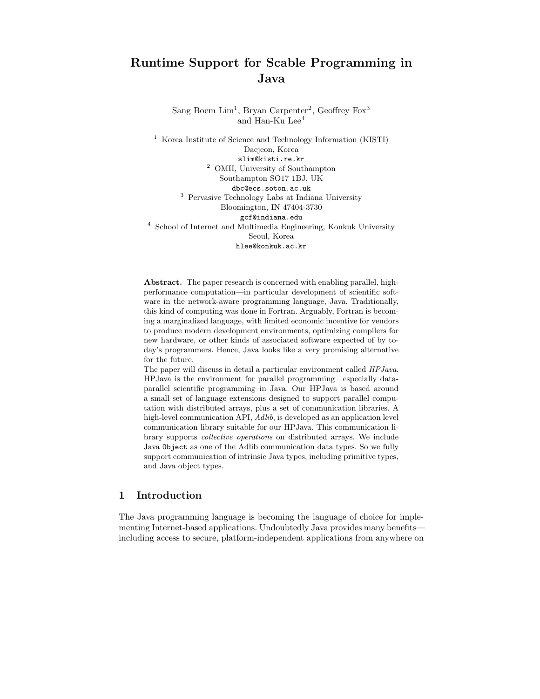# Runtime Support for Scable Programming in Java

Sang Boem  $\text{Lim}^1$ , Bryan Carpenter<sup>2</sup>, Geoffrey Fox<sup>3</sup> and Han-Ku Lee<sup>4</sup>

<sup>1</sup> Korea Institute of Science and Technology Information (KISTI) Daejeon, Korea slim@kisti.re.kr <sup>2</sup> OMII, University of Southampton Southampton SO17 1BJ, UK dbc@ecs.soton.ac.uk <sup>3</sup> Pervasive Technology Labs at Indiana University Bloomington, IN 47404-3730 gcf@indiana.edu  $^4\,$  School of Internet and Multimedia Engineering, Konkuk University Seoul, Korea hlee@konkuk.ac.kr

Abstract. The paper research is concerned with enabling parallel, highperformance computation—in particular development of scientific software in the network-aware programming language, Java. Traditionally, this kind of computing was done in Fortran. Arguably, Fortran is becoming a marginalized language, with limited economic incentive for vendors to produce modern development environments, optimizing compilers for new hardware, or other kinds of associated software expected of by today's programmers. Hence, Java looks like a very promising alternative for the future.

The paper will discuss in detail a particular environment called HPJava. HPJava is the environment for parallel programming—especially dataparallel scientific programming–in Java. Our HPJava is based around a small set of language extensions designed to support parallel computation with distributed arrays, plus a set of communication libraries. A high-level communication API, Adlib, is developed as an application level communication library suitable for our HPJava. This communication library supports collective operations on distributed arrays. We include Java Object as one of the Adlib communication data types. So we fully support communication of intrinsic Java types, including primitive types, and Java object types.

## 1 Introduction

The Java programming language is becoming the language of choice for implementing Internet-based applications. Undoubtedly Java provides many benefits including access to secure, platform-independent applications from anywhere on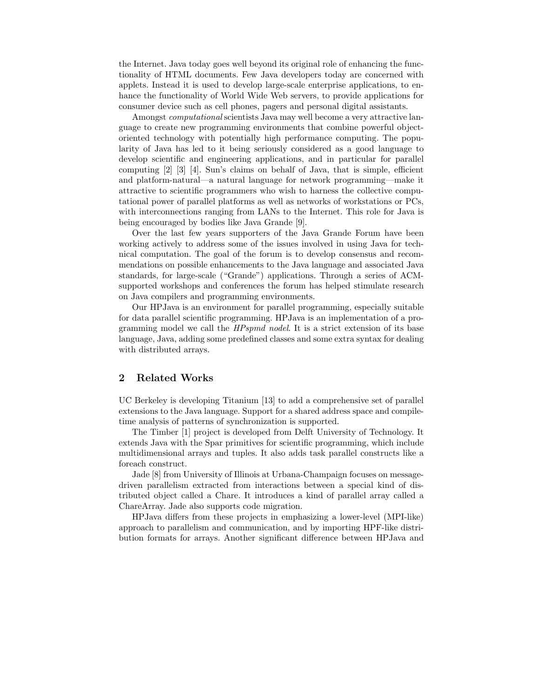the Internet. Java today goes well beyond its original role of enhancing the functionality of HTML documents. Few Java developers today are concerned with applets. Instead it is used to develop large-scale enterprise applications, to enhance the functionality of World Wide Web servers, to provide applications for consumer device such as cell phones, pagers and personal digital assistants.

Amongst computational scientists Java may well become a very attractive language to create new programming environments that combine powerful objectoriented technology with potentially high performance computing. The popularity of Java has led to it being seriously considered as a good language to develop scientific and engineering applications, and in particular for parallel computing [2] [3] [4]. Sun's claims on behalf of Java, that is simple, efficient and platform-natural—a natural language for network programming—make it attractive to scientific programmers who wish to harness the collective computational power of parallel platforms as well as networks of workstations or PCs, with interconnections ranging from LANs to the Internet. This role for Java is being encouraged by bodies like Java Grande [9].

Over the last few years supporters of the Java Grande Forum have been working actively to address some of the issues involved in using Java for technical computation. The goal of the forum is to develop consensus and recommendations on possible enhancements to the Java language and associated Java standards, for large-scale ("Grande") applications. Through a series of ACMsupported workshops and conferences the forum has helped stimulate research on Java compilers and programming environments.

Our HPJava is an environment for parallel programming, especially suitable for data parallel scientific programming. HPJava is an implementation of a programming model we call the HPspmd nodel. It is a strict extension of its base language, Java, adding some predefined classes and some extra syntax for dealing with distributed arrays.

## 2 Related Works

UC Berkeley is developing Titanium [13] to add a comprehensive set of parallel extensions to the Java language. Support for a shared address space and compiletime analysis of patterns of synchronization is supported.

The Timber [1] project is developed from Delft University of Technology. It extends Java with the Spar primitives for scientific programming, which include multidimensional arrays and tuples. It also adds task parallel constructs like a foreach construct.

Jade [8] from University of Illinois at Urbana-Champaign focuses on messagedriven parallelism extracted from interactions between a special kind of distributed object called a Chare. It introduces a kind of parallel array called a ChareArray. Jade also supports code migration.

HPJava differs from these projects in emphasizing a lower-level (MPI-like) approach to parallelism and communication, and by importing HPF-like distribution formats for arrays. Another significant difference between HPJava and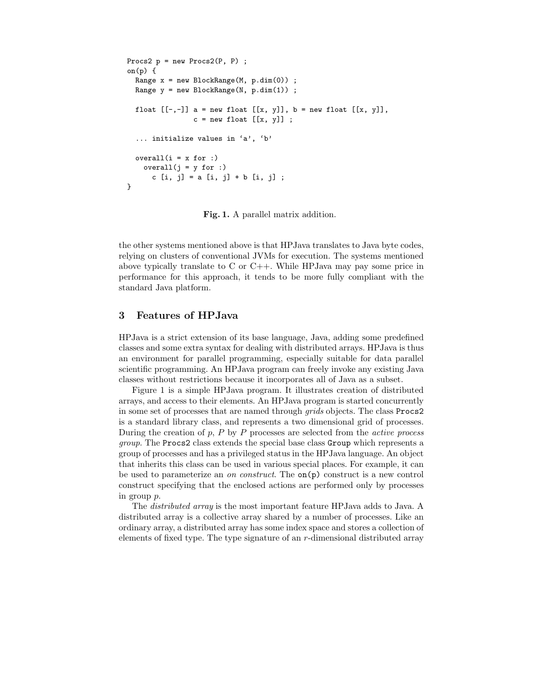```
Procs2 p = new Procs2(P, P);
on(p) {
  Range x = new BlockRange(M, p.dim(0));
  Range y = new BlockRange(N, p.dim(1));
  float [[-,-]] a = new float [[x, y]], b = new float [[x, y]],c = new float [[x, y]];
  ... initialize values in 'a', 'b'
  overall(i = x for :)overall(i = y for :)c [i, j] = a [i, j] + b [i, j] ;
}
```
Fig. 1. A parallel matrix addition.

the other systems mentioned above is that HPJava translates to Java byte codes, relying on clusters of conventional JVMs for execution. The systems mentioned above typically translate to C or C++. While HPJava may pay some price in performance for this approach, it tends to be more fully compliant with the standard Java platform.

## 3 Features of HPJava

HPJava is a strict extension of its base language, Java, adding some predefined classes and some extra syntax for dealing with distributed arrays. HPJava is thus an environment for parallel programming, especially suitable for data parallel scientific programming. An HPJava program can freely invoke any existing Java classes without restrictions because it incorporates all of Java as a subset.

Figure 1 is a simple HPJava program. It illustrates creation of distributed arrays, and access to their elements. An HPJava program is started concurrently in some set of processes that are named through grids objects. The class Procs2 is a standard library class, and represents a two dimensional grid of processes. During the creation of  $p$ ,  $P$  by  $P$  processes are selected from the *active process* group. The Procs2 class extends the special base class Group which represents a group of processes and has a privileged status in the HPJava language. An object that inherits this class can be used in various special places. For example, it can be used to parameterize an on construct. The on(p) construct is a new control construct specifying that the enclosed actions are performed only by processes in group p.

The distributed array is the most important feature HPJava adds to Java. A distributed array is a collective array shared by a number of processes. Like an ordinary array, a distributed array has some index space and stores a collection of elements of fixed type. The type signature of an r-dimensional distributed array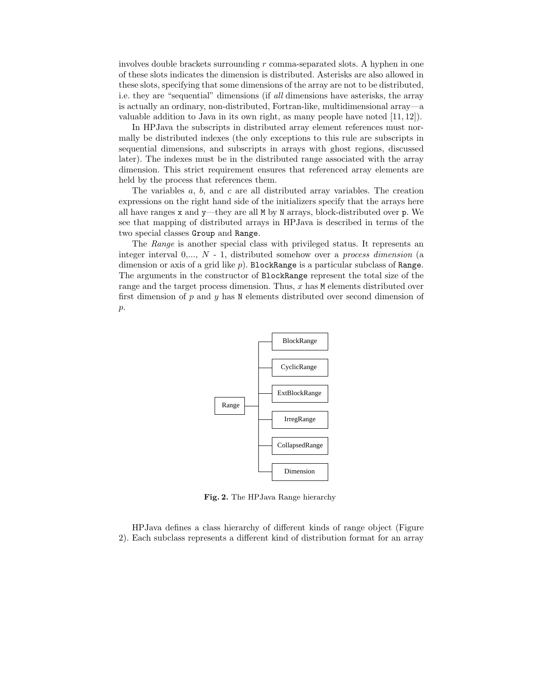involves double brackets surrounding  $r$  comma-separated slots. A hyphen in one of these slots indicates the dimension is distributed. Asterisks are also allowed in these slots, specifying that some dimensions of the array are not to be distributed, i.e. they are "sequential" dimensions (if all dimensions have asterisks, the array is actually an ordinary, non-distributed, Fortran-like, multidimensional array—a valuable addition to Java in its own right, as many people have noted [11, 12]).

In HPJava the subscripts in distributed array element references must normally be distributed indexes (the only exceptions to this rule are subscripts in sequential dimensions, and subscripts in arrays with ghost regions, discussed later). The indexes must be in the distributed range associated with the array dimension. This strict requirement ensures that referenced array elements are held by the process that references them.

The variables  $a, b$ , and  $c$  are all distributed array variables. The creation expressions on the right hand side of the initializers specify that the arrays here all have ranges x and y—they are all M by N arrays, block-distributed over p. We see that mapping of distributed arrays in HPJava is described in terms of the two special classes Group and Range.

The Range is another special class with privileged status. It represents an integer interval  $0,..., N - 1$ , distributed somehow over a *process dimension* (a dimension or axis of a grid like  $p$ ). BlockRange is a particular subclass of Range. The arguments in the constructor of BlockRange represent the total size of the range and the target process dimension. Thus,  $x$  has  $M$  elements distributed over first dimension of  $p$  and  $y$  has  $N$  elements distributed over second dimension of  $p$ .



Fig. 2. The HPJava Range hierarchy

HPJava defines a class hierarchy of different kinds of range object (Figure 2). Each subclass represents a different kind of distribution format for an array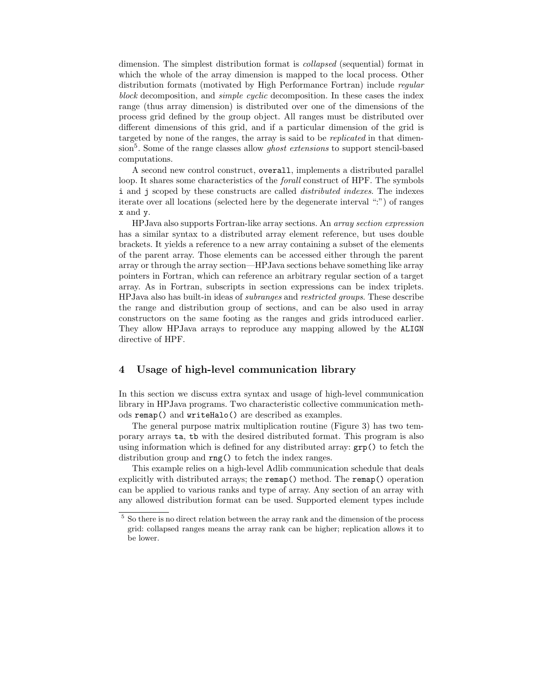dimension. The simplest distribution format is collapsed (sequential) format in which the whole of the array dimension is mapped to the local process. Other distribution formats (motivated by High Performance Fortran) include regular block decomposition, and simple cyclic decomposition. In these cases the index range (thus array dimension) is distributed over one of the dimensions of the process grid defined by the group object. All ranges must be distributed over different dimensions of this grid, and if a particular dimension of the grid is targeted by none of the ranges, the array is said to be replicated in that dimension<sup>5</sup>. Some of the range classes allow *ghost extensions* to support stencil-based computations.

A second new control construct, overall, implements a distributed parallel loop. It shares some characteristics of the forall construct of HPF. The symbols i and j scoped by these constructs are called *distributed indexes*. The indexes iterate over all locations (selected here by the degenerate interval ":") of ranges x and y.

HPJava also supports Fortran-like array sections. An array section expression has a similar syntax to a distributed array element reference, but uses double brackets. It yields a reference to a new array containing a subset of the elements of the parent array. Those elements can be accessed either through the parent array or through the array section—HPJava sections behave something like array pointers in Fortran, which can reference an arbitrary regular section of a target array. As in Fortran, subscripts in section expressions can be index triplets. HPJava also has built-in ideas of subranges and restricted groups. These describe the range and distribution group of sections, and can be also used in array constructors on the same footing as the ranges and grids introduced earlier. They allow HPJava arrays to reproduce any mapping allowed by the ALIGN directive of HPF.

## 4 Usage of high-level communication library

In this section we discuss extra syntax and usage of high-level communication library in HPJava programs. Two characteristic collective communication methods remap() and writeHalo() are described as examples.

The general purpose matrix multiplication routine (Figure 3) has two temporary arrays ta, tb with the desired distributed format. This program is also using information which is defined for any distributed array: grp() to fetch the distribution group and  $\text{rng}()$  to fetch the index ranges.

This example relies on a high-level Adlib communication schedule that deals explicitly with distributed arrays; the remap() method. The remap() operation can be applied to various ranks and type of array. Any section of an array with any allowed distribution format can be used. Supported element types include

<sup>5</sup> So there is no direct relation between the array rank and the dimension of the process grid: collapsed ranges means the array rank can be higher; replication allows it to be lower.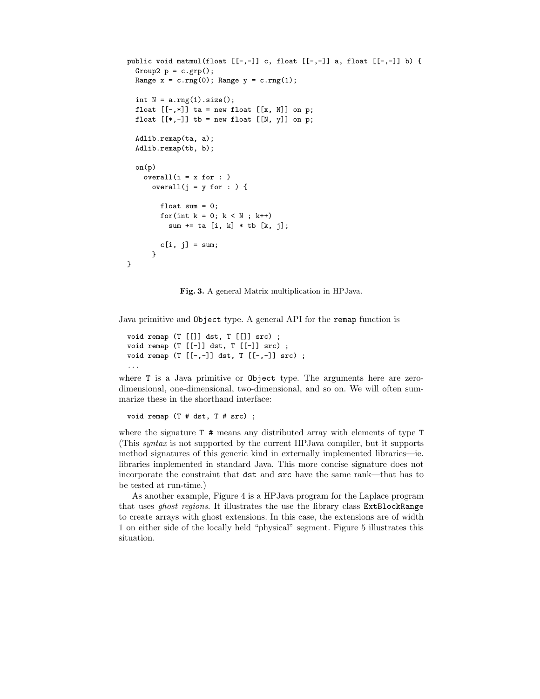```
public void matmul(float [[-,-]] c, float [[-,-]] a, float [[-,-]] b) {
  Group2 p = c.grp();
  Range x = c.rng(0); Range y = c.rng(1);
  int N = a.rng(1).size();
  float [[-, *]] ta = new float [[x, N]] on p;
  float [[*,-]] tb = new float [[N, y]] on p;
  Adlib.remap(ta, a);
  Adlib.remap(tb, b);
  on(p)
    overall(i = x for : )overall(j = y for : ) {
        float sum = 0;
        for(int k = 0; k < N; k^{++})
          sum += ta [i, k] * tb [k, j];
        c[i, j] = sum;}
}
```
Fig. 3. A general Matrix multiplication in HPJava.

Java primitive and Object type. A general API for the remap function is

```
void remap (T [[]] dst, T [[]] src) ;
void remap (T [[-]] dst, T [[-]] src) ;
void remap (T [[-,-]] \text{dst}, T [[-,-]] \text{src});
...
```
where T is a Java primitive or Object type. The arguments here are zerodimensional, one-dimensional, two-dimensional, and so on. We will often summarize these in the shorthand interface:

```
void remap (T # dst, T # src) ;
```
where the signature T # means any distributed array with elements of type T (This syntax is not supported by the current HPJava compiler, but it supports method signatures of this generic kind in externally implemented libraries—ie. libraries implemented in standard Java. This more concise signature does not incorporate the constraint that dst and src have the same rank—that has to be tested at run-time.)

As another example, Figure 4 is a HPJava program for the Laplace program that uses ghost regions. It illustrates the use the library class ExtBlockRange to create arrays with ghost extensions. In this case, the extensions are of width 1 on either side of the locally held "physical" segment. Figure 5 illustrates this situation.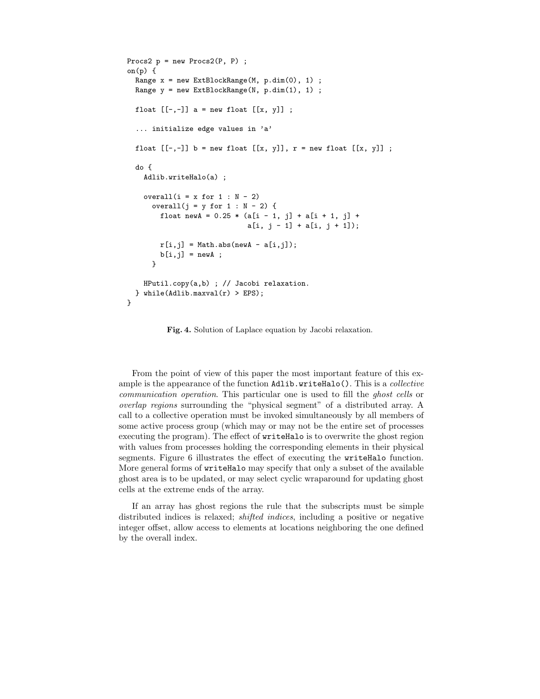```
Procs2 p = new Procs2(P, P);
on(p) {
  Range x = new ExtBlockRange(M, p.dim(0), 1);
  Range y = new ExtBlockRange(N, p.dim(1), 1);
  float [[-,-]] a = new float [[x, y]] ;
  ... initialize edge values in 'a'
  float [[-,-]] b = new float [[x, y]], r = new float [[x, y]];
  do {
    Adlib.writeHalo(a) ;
    overall(i = x for 1 : N - 2)
      overall(j = y for 1 : N - 2) {
        float newA = 0.25 * (a[i - 1, j] + a[i + 1, j] +a[i, j - 1] + a[i, j + 1];
        r[i,j] = Math.abs(newA - a[i,j]);
        b[i,j] = newA;}
    HPutil.copy(a,b) ; // Jacobi relaxation.
  } while(Adlib.maxval(r) > EPS);
}
```
Fig. 4. Solution of Laplace equation by Jacobi relaxation.

From the point of view of this paper the most important feature of this example is the appearance of the function Adlib.writeHalo(). This is a *collective* communication operation. This particular one is used to fill the ghost cells or overlap regions surrounding the "physical segment" of a distributed array. A call to a collective operation must be invoked simultaneously by all members of some active process group (which may or may not be the entire set of processes executing the program). The effect of writeHalo is to overwrite the ghost region with values from processes holding the corresponding elements in their physical segments. Figure 6 illustrates the effect of executing the writeHalo function. More general forms of writeHalo may specify that only a subset of the available ghost area is to be updated, or may select cyclic wraparound for updating ghost cells at the extreme ends of the array.

If an array has ghost regions the rule that the subscripts must be simple distributed indices is relaxed; *shifted indices*, including a positive or negative integer offset, allow access to elements at locations neighboring the one defined by the overall index.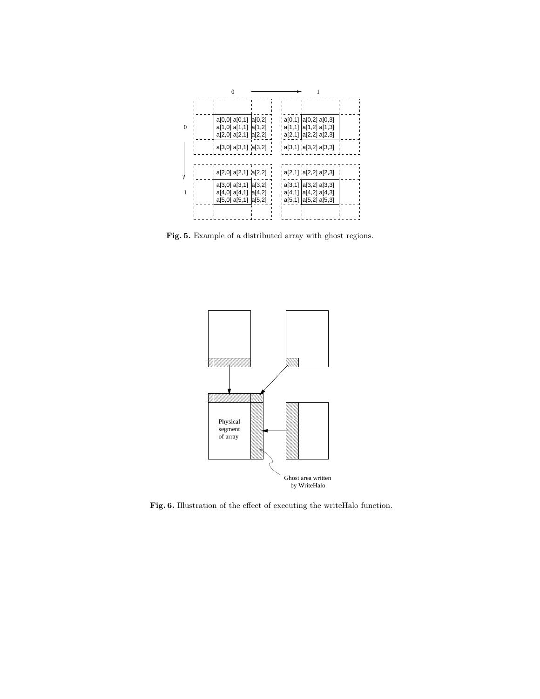

Fig. 5. Example of a distributed array with ghost regions.



Fig. 6. Illustration of the effect of executing the writeHalo function.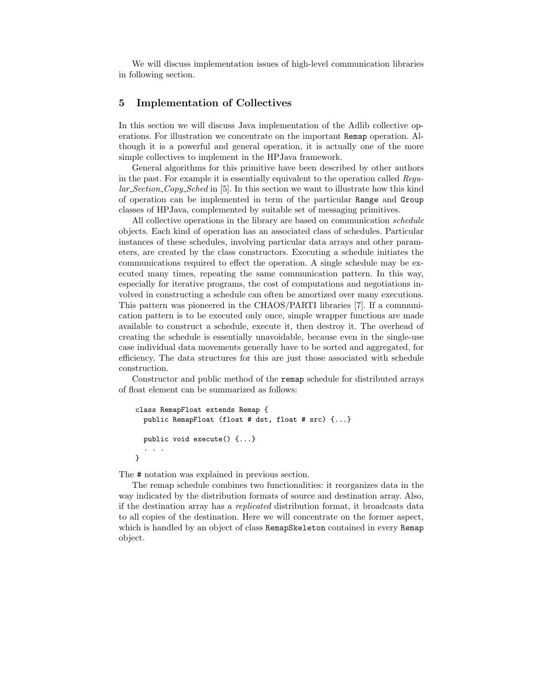We will discuss implementation issues of high-level communication libraries in following section.

### 5 Implementation of Collectives

In this section we will discuss Java implementation of the Adlib collective operations. For illustration we concentrate on the important Remap operation. Although it is a powerful and general operation, it is actually one of the more simple collectives to implement in the HPJava framework.

General algorithms for this primitive have been described by other authors in the past. For example it is essentially equivalent to the operation called Regular\_Section\_Copy\_Sched in [5]. In this section we want to illustrate how this kind of operation can be implemented in term of the particular Range and Group classes of HPJava, complemented by suitable set of messaging primitives.

All collective operations in the library are based on communication schedule objects. Each kind of operation has an associated class of schedules. Particular instances of these schedules, involving particular data arrays and other parameters, are created by the class constructors. Executing a schedule initiates the communications required to effect the operation. A single schedule may be executed many times, repeating the same communication pattern. In this way, especially for iterative programs, the cost of computations and negotiations involved in constructing a schedule can often be amortized over many executions. This pattern was pioneered in the CHAOS/PARTI libraries [7]. If a communication pattern is to be executed only once, simple wrapper functions are made available to construct a schedule, execute it, then destroy it. The overhead of creating the schedule is essentially unavoidable, because even in the single-use case individual data movements generally have to be sorted and aggregated, for efficiency. The data structures for this are just those associated with schedule construction.

Constructor and public method of the remap schedule for distributed arrays of float element can be summarized as follows:

```
class RemapFloat extends Remap {
 public RemapFloat (float # dst, float # src) {...}
 public void execute() {...}
  . . .
}
```
The # notation was explained in previous section.

The remap schedule combines two functionalities: it reorganizes data in the way indicated by the distribution formats of source and destination array. Also, if the destination array has a replicated distribution format, it broadcasts data to all copies of the destination. Here we will concentrate on the former aspect, which is handled by an object of class RemapSkeleton contained in every Remap object.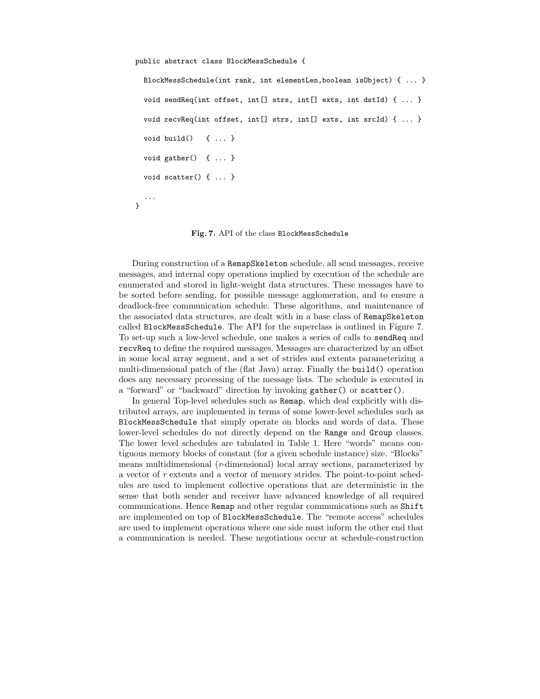public abstract class BlockMessSchedule {

```
BlockMessSchedule(int rank, int elementLen,boolean isObject) { ... }
  void sendReq(int offset, int[] strs, int[] exts, int dstId) \{ \ldots \}void recvReq(int offset, int[] strs, int[] exts, int srcId) \{ \ldots \}void build() { ... }
  void gather() { ... }
  void scatter() { ... }
  ...
}
```
Fig. 7. API of the class BlockMessSchedule

During construction of a RemapSkeleton schedule, all send messages, receive messages, and internal copy operations implied by execution of the schedule are enumerated and stored in light-weight data structures. These messages have to be sorted before sending, for possible message agglomeration, and to ensure a deadlock-free communication schedule. These algorithms, and maintenance of the associated data structures, are dealt with in a base class of RemapSkeleton called BlockMessSchedule. The API for the superclass is outlined in Figure 7. To set-up such a low-level schedule, one makes a series of calls to sendReq and recvReq to define the required messages. Messages are characterized by an offset in some local array segment, and a set of strides and extents parameterizing a multi-dimensional patch of the (flat Java) array. Finally the build() operation does any necessary processing of the message lists. The schedule is executed in a "forward" or "backward" direction by invoking gather() or scatter().

In general Top-level schedules such as Remap, which deal explicitly with distributed arrays, are implemented in terms of some lower-level schedules such as BlockMessSchedule that simply operate on blocks and words of data. These lower-level schedules do not directly depend on the Range and Group classes. The lower level schedules are tabulated in Table 1. Here "words" means contiguous memory blocks of constant (for a given schedule instance) size. "Blocks" means multidimensional  $(r$ -dimensional) local array sections, parameterized by a vector of r extents and a vector of memory strides. The point-to-point schedules are used to implement collective operations that are deterministic in the sense that both sender and receiver have advanced knowledge of all required communications. Hence Remap and other regular communications such as Shift are implemented on top of BlockMessSchedule. The "remote access" schedules are used to implement operations where one side must inform the other end that a communication is needed. These negotiations occur at schedule-construction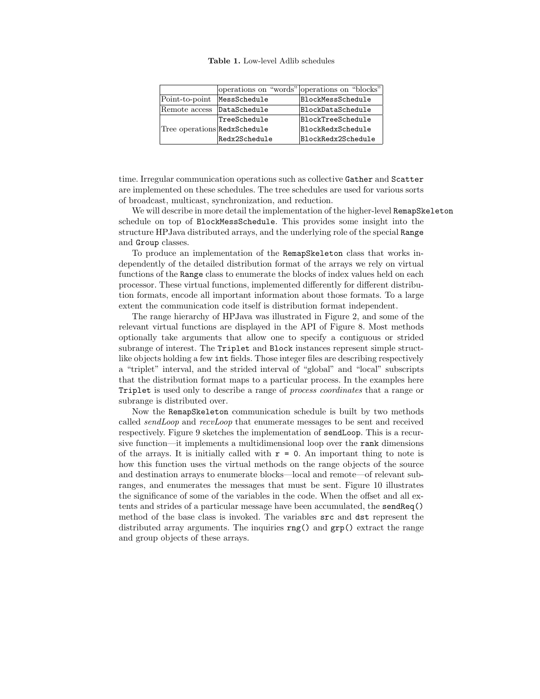| <b>Table 1.</b> Low-level Adlib schedules |
|-------------------------------------------|
|-------------------------------------------|

|                              |               | operations on "words" operations on "blocks" |
|------------------------------|---------------|----------------------------------------------|
| Point-to-point               | MessSchedule  | BlockMessSchedule                            |
| Remote access                | DataSchedule  | BlockDataSchedule                            |
|                              | TreeSchedule  | BlockTreeSchedule                            |
| Tree operations RedxSchedule |               | BlockRedxSchedule                            |
|                              | Redx2Schedule | BlockRedx2Schedule                           |

time. Irregular communication operations such as collective Gather and Scatter are implemented on these schedules. The tree schedules are used for various sorts of broadcast, multicast, synchronization, and reduction.

We will describe in more detail the implementation of the higher-level RemapSkeleton schedule on top of BlockMessSchedule. This provides some insight into the structure HPJava distributed arrays, and the underlying role of the special Range and Group classes.

To produce an implementation of the RemapSkeleton class that works independently of the detailed distribution format of the arrays we rely on virtual functions of the Range class to enumerate the blocks of index values held on each processor. These virtual functions, implemented differently for different distribution formats, encode all important information about those formats. To a large extent the communication code itself is distribution format independent.

The range hierarchy of HPJava was illustrated in Figure 2, and some of the relevant virtual functions are displayed in the API of Figure 8. Most methods optionally take arguments that allow one to specify a contiguous or strided subrange of interest. The Triplet and Block instances represent simple structlike objects holding a few int fields. Those integer files are describing respectively a "triplet" interval, and the strided interval of "global" and "local" subscripts that the distribution format maps to a particular process. In the examples here Triplet is used only to describe a range of process coordinates that a range or subrange is distributed over.

Now the RemapSkeleton communication schedule is built by two methods called sendLoop and recvLoop that enumerate messages to be sent and received respectively. Figure 9 sketches the implementation of sendLoop. This is a recursive function—it implements a multidimensional loop over the rank dimensions of the arrays. It is initially called with  $r = 0$ . An important thing to note is how this function uses the virtual methods on the range objects of the source and destination arrays to enumerate blocks—local and remote—of relevant subranges, and enumerates the messages that must be sent. Figure 10 illustrates the significance of some of the variables in the code. When the offset and all extents and strides of a particular message have been accumulated, the sendReq() method of the base class is invoked. The variables src and dst represent the distributed array arguments. The inquiries  $\text{rng}()$  and  $\text{grp}()$  extract the range and group objects of these arrays.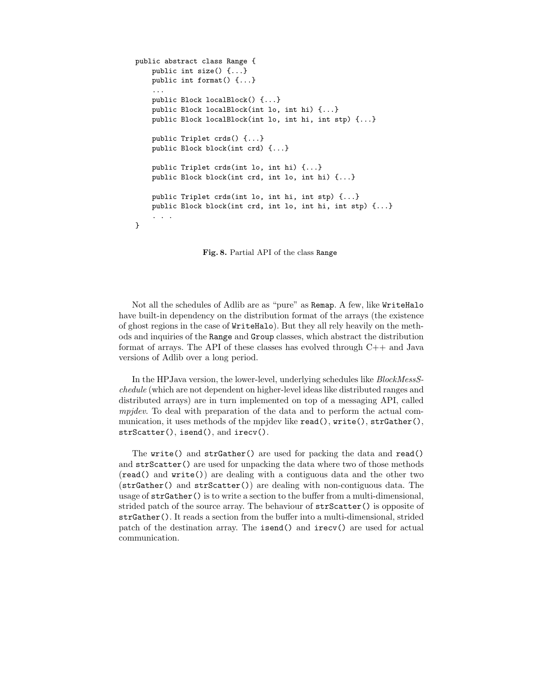```
public abstract class Range {
   public int size() {...}
   public int format() {...}
    ...
   public Block localBlock() {...}
   public Block localBlock(int lo, int hi) {...}
   public Block localBlock(int lo, int hi, int stp) {...}
   public Triplet crds() {...}
   public Block block(int crd) {...}
   public Triplet crds(int lo, int hi) {...}
   public Block block(int crd, int lo, int hi) {...}
   public Triplet crds(int lo, int hi, int stp) {...}
   public Block block(int crd, int lo, int hi, int stp) {...}
    . . .
}
```
Fig. 8. Partial API of the class Range

Not all the schedules of Adlib are as "pure" as Remap. A few, like WriteHalo have built-in dependency on the distribution format of the arrays (the existence of ghost regions in the case of WriteHalo). But they all rely heavily on the methods and inquiries of the Range and Group classes, which abstract the distribution format of arrays. The API of these classes has evolved through  $C_{++}$  and Java versions of Adlib over a long period.

In the HPJava version, the lower-level, underlying schedules like *BlockMessS*chedule (which are not dependent on higher-level ideas like distributed ranges and distributed arrays) are in turn implemented on top of a messaging API, called mpjdev. To deal with preparation of the data and to perform the actual communication, it uses methods of the mpjdev like read(), write(), strGather(), strScatter(), isend(), and irecv().

The write() and strGather() are used for packing the data and read() and strScatter() are used for unpacking the data where two of those methods (read() and write()) are dealing with a contiguous data and the other two (strGather() and strScatter()) are dealing with non-contiguous data. The usage of strGather() is to write a section to the buffer from a multi-dimensional, strided patch of the source array. The behaviour of strScatter() is opposite of strGather(). It reads a section from the buffer into a multi-dimensional, strided patch of the destination array. The isend() and irecv() are used for actual communication.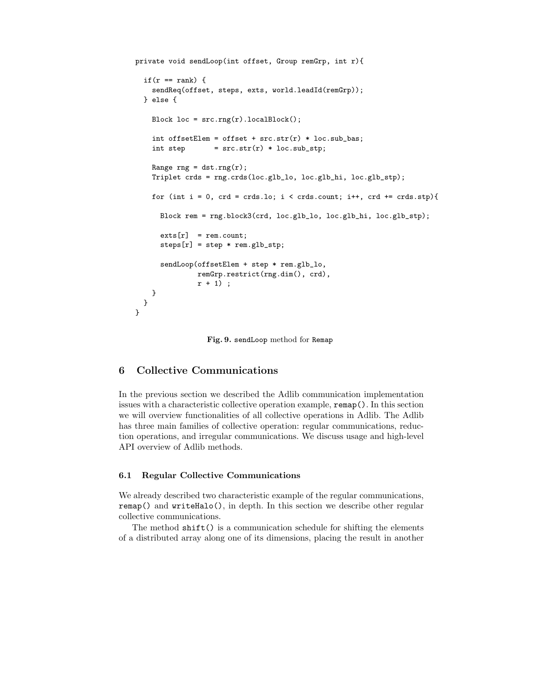```
private void sendLoop(int offset, Group remGrp, int r){
  if(r == rank) {
   sendReq(offset, steps, exts, world.leadId(remGrp));
  } else {
   Block loc = src.rng(r). localBlock();
   int offsetElem = offset + src.str(r) * loc.sub_bas;int step = src.str(r) * loc.sub_stp;Range rng = dst.rng(r);
   Triplet crds = rng.crds(loc.glb_lo, loc.glb_hi, loc.glb_stp);
   for (int i = 0, crd = crds.lo; i < crds.count; i++, crd += crds.stp){
     Block rem = rng.block3(crd, loc.glb_lo, loc.glb_hi, loc.glb_stp);
      exts[r] = rem.count;steps[r] = step * rem.glb_stp;
      sendLoop(offsetElem + step * rem.glb_lo,
              remGrp.restrict(rng.dim(), crd),
              r + 1) ;
   }
 }
}
```
Fig. 9. sendLoop method for Remap

### 6 Collective Communications

In the previous section we described the Adlib communication implementation issues with a characteristic collective operation example, remap(). In this section we will overview functionalities of all collective operations in Adlib. The Adlib has three main families of collective operation: regular communications, reduction operations, and irregular communications. We discuss usage and high-level API overview of Adlib methods.

#### 6.1 Regular Collective Communications

We already described two characteristic example of the regular communications, remap() and writeHalo(), in depth. In this section we describe other regular collective communications.

The method shift() is a communication schedule for shifting the elements of a distributed array along one of its dimensions, placing the result in another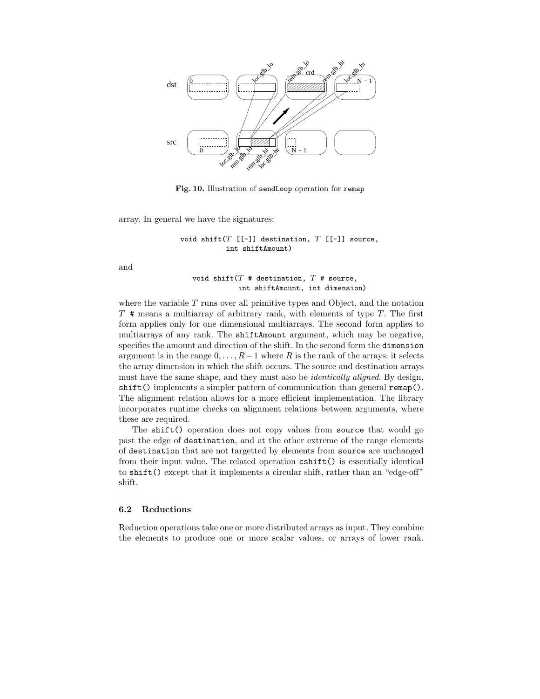

Fig. 10. Illustration of sendLoop operation for remap

array. In general we have the signatures:

void shift( $T$  [[-]] destination,  $T$  [[-]] source, int shiftAmount)

and

#### void shift( $T$  # destination,  $T$  # source, int shiftAmount, int dimension)

where the variable  $T$  runs over all primitive types and Object, and the notation  $T$   $\#$  means a multiarray of arbitrary rank, with elements of type  $T$ . The first form applies only for one dimensional multiarrays. The second form applies to multiarrays of any rank. The shiftAmount argument, which may be negative, specifies the amount and direction of the shift. In the second form the dimension argument is in the range  $0, \ldots, R-1$  where R is the rank of the arrays: it selects the array dimension in which the shift occurs. The source and destination arrays must have the same shape, and they must also be *identically aligned*. By design, shift() implements a simpler pattern of communication than general remap(). The alignment relation allows for a more efficient implementation. The library incorporates runtime checks on alignment relations between arguments, where these are required.

The shift() operation does not copy values from source that would go past the edge of destination, and at the other extreme of the range elements of destination that are not targetted by elements from source are unchanged from their input value. The related operation cshift() is essentially identical to shift() except that it implements a circular shift, rather than an "edge-off" shift.

#### 6.2 Reductions

Reduction operations take one or more distributed arrays as input. They combine the elements to produce one or more scalar values, or arrays of lower rank.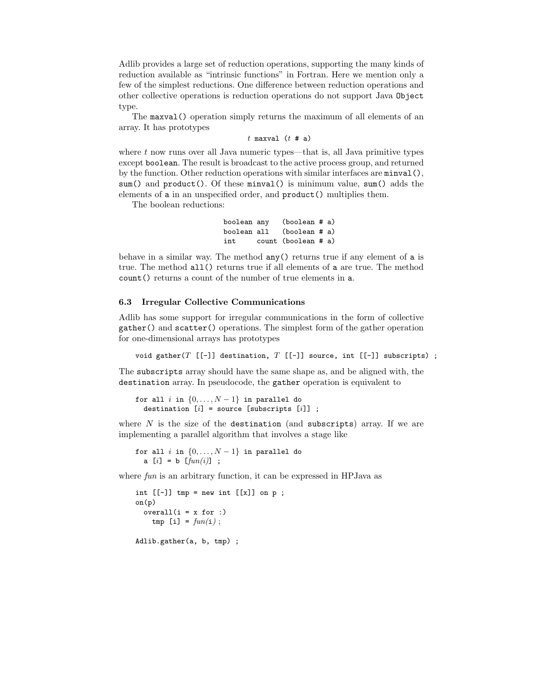Adlib provides a large set of reduction operations, supporting the many kinds of reduction available as "intrinsic functions" in Fortran. Here we mention only a few of the simplest reductions. One difference between reduction operations and other collective operations is reduction operations do not support Java Object type.

The maxval() operation simply returns the maximum of all elements of an array. It has prototypes

 $t$  maxval  $(t \# a)$ 

where  $t$  now runs over all Java numeric types—that is, all Java primitive types except boolean. The result is broadcast to the active process group, and returned by the function. Other reduction operations with similar interfaces are minval(), sum() and product(). Of these minval() is minimum value, sum() adds the elements of a in an unspecified order, and product() multiplies them.

The boolean reductions:

boolean any (boolean # a) boolean all (boolean # a) int count (boolean # a)

behave in a similar way. The method any() returns true if any element of a is true. The method all() returns true if all elements of a are true. The method count() returns a count of the number of true elements in a.

#### 6.3 Irregular Collective Communications

Adlib has some support for irregular communications in the form of collective gather() and scatter() operations. The simplest form of the gather operation for one-dimensional arrays has prototypes

void gather(T  $[-]$ ] destination, T  $[-]$ ] source, int  $[-]$ ] subscripts);

The subscripts array should have the same shape as, and be aligned with, the destination array. In pseudocode, the gather operation is equivalent to

for all i in  $\{0, \ldots, N-1\}$  in parallel do destination  $[i]$  = source [subscripts  $[i]$ ];

where  $N$  is the size of the destination (and subscripts) array. If we are implementing a parallel algorithm that involves a stage like

for all  $i$  in  $\{0, \ldots, N-1\}$  in parallel do a  $[i] = b$   $[fun(i)]$ ;

where fun is an arbitrary function, it can be expressed in HPJava as

```
int [[-]] tmp = new int [[x]] on p;
on(p)
 overall(i = x for :)tmp [i] = fun(i);
```
Adlib.gather(a, b, tmp) ;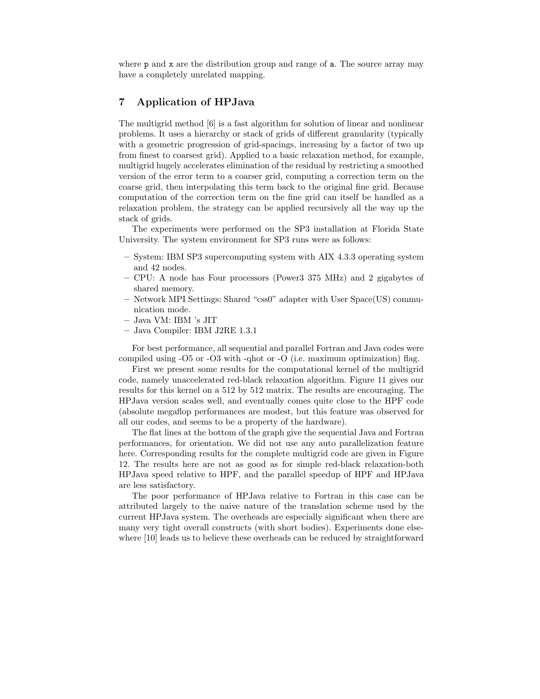where  $p$  and  $x$  are the distribution group and range of  $a$ . The source array may have a completely unrelated mapping.

## 7 Application of HPJava

The multigrid method [6] is a fast algorithm for solution of linear and nonlinear problems. It uses a hierarchy or stack of grids of different granularity (typically with a geometric progression of grid-spacings, increasing by a factor of two up from finest to coarsest grid). Applied to a basic relaxation method, for example, multigrid hugely accelerates elimination of the residual by restricting a smoothed version of the error term to a coarser grid, computing a correction term on the coarse grid, then interpolating this term back to the original fine grid. Because computation of the correction term on the fine grid can itself be handled as a relaxation problem, the strategy can be applied recursively all the way up the stack of grids.

The experiments were performed on the SP3 installation at Florida State University. The system environment for SP3 runs were as follows:

- System: IBM SP3 supercomputing system with AIX 4.3.3 operating system and 42 nodes.
- CPU: A node has Four processors (Power3 375 MHz) and 2 gigabytes of shared memory.
- Network MPI Settings: Shared "css0" adapter with User Space(US) communication mode.
- Java VM: IBM 's JIT
- Java Compiler: IBM J2RE 1.3.1

For best performance, all sequential and parallel Fortran and Java codes were compiled using -O5 or -O3 with -qhot or -O (i.e. maximum optimization) flag.

First we present some results for the computational kernel of the multigrid code, namely unaccelerated red-black relaxation algorithm. Figure 11 gives our results for this kernel on a 512 by 512 matrix. The results are encouraging. The HPJava version scales well, and eventually comes quite close to the HPF code (absolute megaflop performances are modest, but this feature was observed for all our codes, and seems to be a property of the hardware).

The flat lines at the bottom of the graph give the sequential Java and Fortran performances, for orientation. We did not use any auto parallelization feature here. Corresponding results for the complete multigrid code are given in Figure 12. The results here are not as good as for simple red-black relaxation-both HPJava speed relative to HPF, and the parallel speedup of HPF and HPJava are less satisfactory.

The poor performance of HPJava relative to Fortran in this case can be attributed largely to the naive nature of the translation scheme used by the current HPJava system. The overheads are especially significant when there are many very tight overall constructs (with short bodies). Experiments done elsewhere [10] leads us to believe these overheads can be reduced by straightforward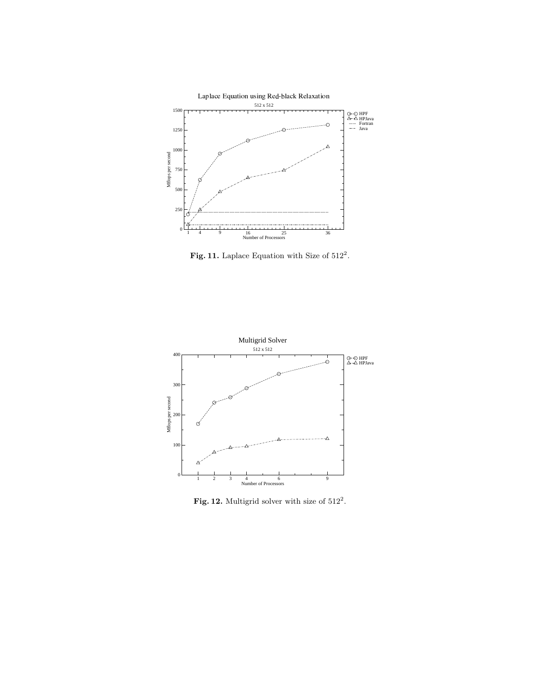

Fig. 11. Laplace Equation with Size of  $512^2$ .



Fig. 12. Multigrid solver with size of  $512^2$ .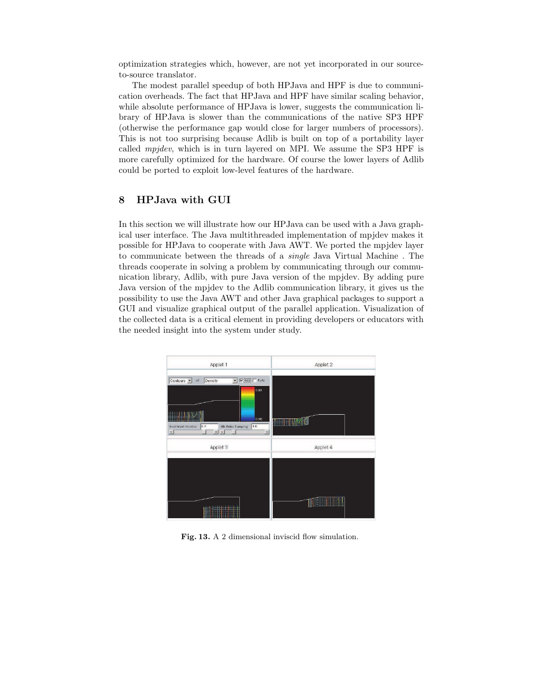optimization strategies which, however, are not yet incorporated in our sourceto-source translator.

The modest parallel speedup of both HPJava and HPF is due to communication overheads. The fact that HPJava and HPF have similar scaling behavior, while absolute performance of HPJava is lower, suggests the communication library of HPJava is slower than the communications of the native SP3 HPF (otherwise the performance gap would close for larger numbers of processors). This is not too surprising because Adlib is built on top of a portability layer called mpjdev, which is in turn layered on MPI. We assume the SP3 HPF is more carefully optimized for the hardware. Of course the lower layers of Adlib could be ported to exploit low-level features of the hardware.

### 8 HPJava with GUI

In this section we will illustrate how our HPJava can be used with a Java graphical user interface. The Java multithreaded implementation of mpjdev makes it possible for HPJava to cooperate with Java AWT. We ported the mpjdev layer to communicate between the threads of a single Java Virtual Machine . The threads cooperate in solving a problem by communicating through our communication library, Adlib, with pure Java version of the mpjdev. By adding pure Java version of the mpjdev to the Adlib communication library, it gives us the possibility to use the Java AWT and other Java graphical packages to support a GUI and visualize graphical output of the parallel application. Visualization of the collected data is a critical element in providing developers or educators with the needed insight into the system under study.



Fig. 13. A 2 dimensional inviscid flow simulation.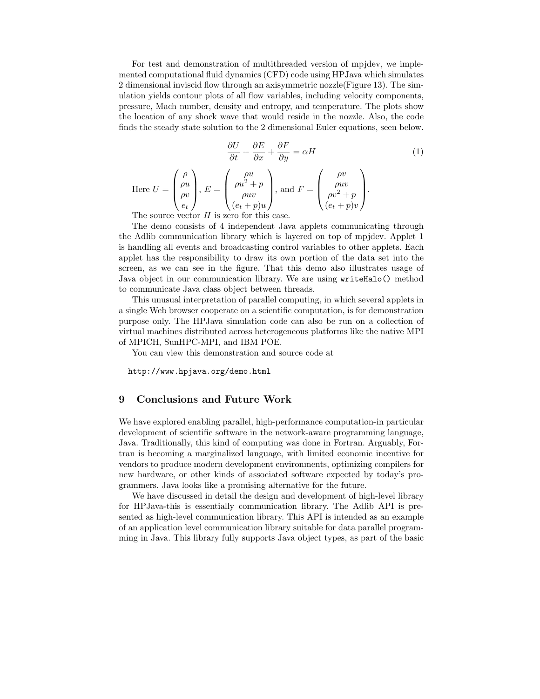For test and demonstration of multithreaded version of mpjdev, we implemented computational fluid dynamics (CFD) code using HPJava which simulates 2 dimensional inviscid flow through an axisymmetric nozzle(Figure 13). The simulation yields contour plots of all flow variables, including velocity components, pressure, Mach number, density and entropy, and temperature. The plots show the location of any shock wave that would reside in the nozzle. Also, the code finds the steady state solution to the 2 dimensional Euler equations, seen below.

$$
\frac{\partial U}{\partial t} + \frac{\partial E}{\partial x} + \frac{\partial F}{\partial y} = \alpha H \tag{1}
$$

Here 
$$
U = \begin{pmatrix} \rho \\ \rho u \\ \rho v \\ e_t \end{pmatrix}
$$
,  $E = \begin{pmatrix} \rho u \\ \rho u^2 + p \\ \rho uv \\ (e_t + p)u \end{pmatrix}$ , and  $F = \begin{pmatrix} \rho v \\ \rho uv \\ \rho v^2 + p \\ (e_t + p)v \end{pmatrix}$ .

The source vector  $H$  is zero for this case.

The demo consists of 4 independent Java applets communicating through the Adlib communication library which is layered on top of mpjdev. Applet 1 is handling all events and broadcasting control variables to other applets. Each applet has the responsibility to draw its own portion of the data set into the screen, as we can see in the figure. That this demo also illustrates usage of Java object in our communication library. We are using writeHalo() method to communicate Java class object between threads.

This unusual interpretation of parallel computing, in which several applets in a single Web browser cooperate on a scientific computation, is for demonstration purpose only. The HPJava simulation code can also be run on a collection of virtual machines distributed across heterogeneous platforms like the native MPI of MPICH, SunHPC-MPI, and IBM POE.

You can view this demonstration and source code at

http://www.hpjava.org/demo.html

## 9 Conclusions and Future Work

We have explored enabling parallel, high-performance computation-in particular development of scientific software in the network-aware programming language, Java. Traditionally, this kind of computing was done in Fortran. Arguably, Fortran is becoming a marginalized language, with limited economic incentive for vendors to produce modern development environments, optimizing compilers for new hardware, or other kinds of associated software expected by today's programmers. Java looks like a promising alternative for the future.

We have discussed in detail the design and development of high-level library for HPJava-this is essentially communication library. The Adlib API is presented as high-level communication library. This API is intended as an example of an application level communication library suitable for data parallel programming in Java. This library fully supports Java object types, as part of the basic